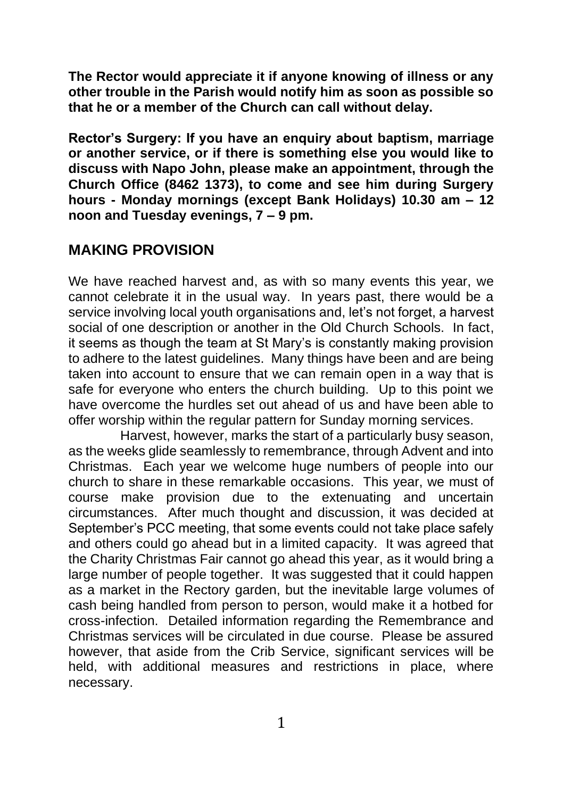**The Rector would appreciate it if anyone knowing of illness or any other trouble in the Parish would notify him as soon as possible so that he or a member of the Church can call without delay.**

**Rector's Surgery: If you have an enquiry about baptism, marriage or another service, or if there is something else you would like to discuss with Napo John, please make an appointment, through the Church Office (8462 1373), to come and see him during Surgery hours - Monday mornings (except Bank Holidays) 10.30 am – 12 noon and Tuesday evenings, 7 – 9 pm.**

## **MAKING PROVISION**

We have reached harvest and, as with so many events this year, we cannot celebrate it in the usual way. In years past, there would be a service involving local youth organisations and, let's not forget, a harvest social of one description or another in the Old Church Schools. In fact, it seems as though the team at St Mary's is constantly making provision to adhere to the latest guidelines. Many things have been and are being taken into account to ensure that we can remain open in a way that is safe for everyone who enters the church building. Up to this point we have overcome the hurdles set out ahead of us and have been able to offer worship within the regular pattern for Sunday morning services.

Harvest, however, marks the start of a particularly busy season, as the weeks glide seamlessly to remembrance, through Advent and into Christmas. Each year we welcome huge numbers of people into our church to share in these remarkable occasions. This year, we must of course make provision due to the extenuating and uncertain circumstances. After much thought and discussion, it was decided at September's PCC meeting, that some events could not take place safely and others could go ahead but in a limited capacity. It was agreed that the Charity Christmas Fair cannot go ahead this year, as it would bring a large number of people together. It was suggested that it could happen as a market in the Rectory garden, but the inevitable large volumes of cash being handled from person to person, would make it a hotbed for cross-infection. Detailed information regarding the Remembrance and Christmas services will be circulated in due course. Please be assured however, that aside from the Crib Service, significant services will be held, with additional measures and restrictions in place, where necessary.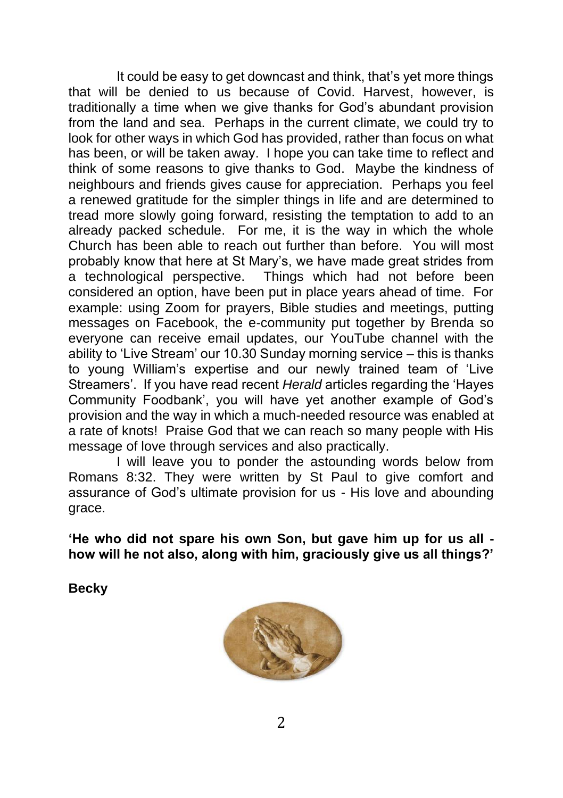It could be easy to get downcast and think, that's yet more things that will be denied to us because of Covid. Harvest, however, is traditionally a time when we give thanks for God's abundant provision from the land and sea. Perhaps in the current climate, we could try to look for other ways in which God has provided, rather than focus on what has been, or will be taken away. I hope you can take time to reflect and think of some reasons to give thanks to God. Maybe the kindness of neighbours and friends gives cause for appreciation. Perhaps you feel a renewed gratitude for the simpler things in life and are determined to tread more slowly going forward, resisting the temptation to add to an already packed schedule. For me, it is the way in which the whole Church has been able to reach out further than before. You will most probably know that here at St Mary's, we have made great strides from a technological perspective. Things which had not before been considered an option, have been put in place years ahead of time. For example: using Zoom for prayers, Bible studies and meetings, putting messages on Facebook, the e-community put together by Brenda so everyone can receive email updates, our YouTube channel with the ability to 'Live Stream' our 10.30 Sunday morning service – this is thanks to young William's expertise and our newly trained team of 'Live Streamers'. If you have read recent *Herald* articles regarding the 'Hayes Community Foodbank', you will have yet another example of God's provision and the way in which a much-needed resource was enabled at a rate of knots! Praise God that we can reach so many people with His message of love through services and also practically.

I will leave you to ponder the astounding words below from Romans 8:32. They were written by St Paul to give comfort and assurance of God's ultimate provision for us - His love and abounding grace.

**'He who did not spare his own Son, but gave him up for us all how will he not also, along with him, graciously give us all things?'**

**Becky**

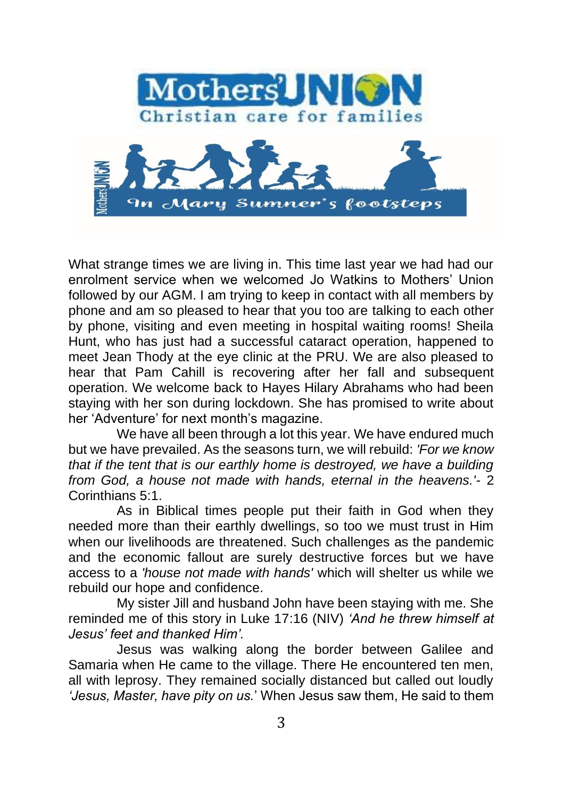

What strange times we are living in. This time last year we had had our enrolment service when we welcomed Jo Watkins to Mothers' Union followed by our AGM. I am trying to keep in contact with all members by phone and am so pleased to hear that you too are talking to each other by phone, visiting and even meeting in hospital waiting rooms! Sheila Hunt, who has just had a successful cataract operation, happened to meet Jean Thody at the eye clinic at the PRU. We are also pleased to hear that Pam Cahill is recovering after her fall and subsequent operation. We welcome back to Hayes Hilary Abrahams who had been staying with her son during lockdown. She has promised to write about her 'Adventure' for next month's magazine.

We have all been through a lot this year. We have endured much but we have prevailed. As the seasons turn, we will rebuild: *'For we know that if the tent that is our earthly home is destroyed, we have a building from God, a house not made with hands, eternal in the heavens.'*- 2 Corinthians 5:1.

As in Biblical times people put their faith in God when they needed more than their earthly dwellings, so too we must trust in Him when our livelihoods are threatened. Such challenges as the pandemic and the economic fallout are surely destructive forces but we have access to a *'house not made with hands'* which will shelter us while we rebuild our hope and confidence.

My sister Jill and husband John have been staying with me. She reminded me of this story in Luke 17:16 (NIV) *'And he threw himself at Jesus' feet and thanked Him'.*

Jesus was walking along the border between Galilee and Samaria when He came to the village. There He encountered ten men, all with leprosy. They remained socially distanced but called out loudly *'Jesus, Master, have pity on us.*' When Jesus saw them, He said to them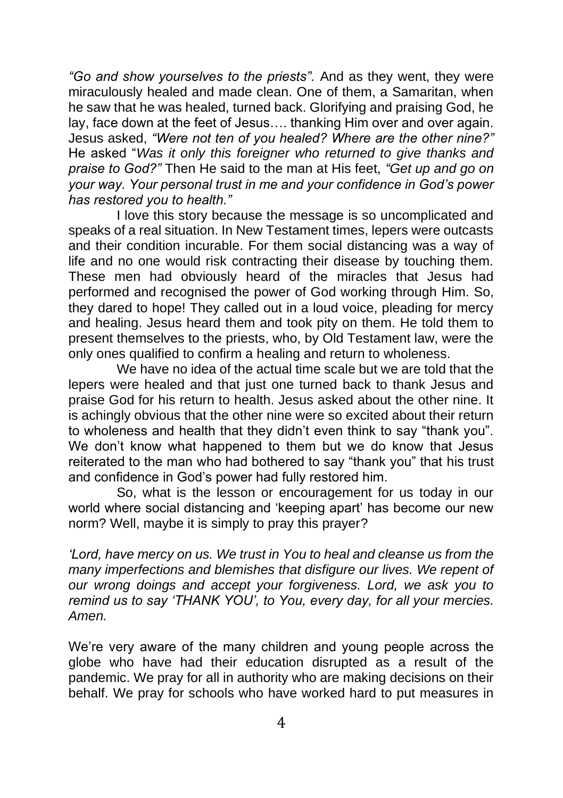*"Go and show yourselves to the priests".* And as they went, they were miraculously healed and made clean. One of them, a Samaritan, when he saw that he was healed, turned back. Glorifying and praising God, he lay, face down at the feet of Jesus…. thanking Him over and over again. Jesus asked, *"Were not ten of you healed? Where are the other nine?"* He asked "*Was it only this foreigner who returned to give thanks and praise to God?"* Then He said to the man at His feet, *"Get up and go on your way. Your personal trust in me and your confidence in God's power has restored you to health."*

I love this story because the message is so uncomplicated and speaks of a real situation. In New Testament times, lepers were outcasts and their condition incurable. For them social distancing was a way of life and no one would risk contracting their disease by touching them. These men had obviously heard of the miracles that Jesus had performed and recognised the power of God working through Him. So, they dared to hope! They called out in a loud voice, pleading for mercy and healing. Jesus heard them and took pity on them. He told them to present themselves to the priests, who, by Old Testament law, were the only ones qualified to confirm a healing and return to wholeness.

We have no idea of the actual time scale but we are told that the lepers were healed and that just one turned back to thank Jesus and praise God for his return to health. Jesus asked about the other nine. It is achingly obvious that the other nine were so excited about their return to wholeness and health that they didn't even think to say "thank you". We don't know what happened to them but we do know that Jesus reiterated to the man who had bothered to say "thank you" that his trust and confidence in God's power had fully restored him.

So, what is the lesson or encouragement for us today in our world where social distancing and 'keeping apart' has become our new norm? Well, maybe it is simply to pray this prayer?

*'Lord, have mercy on us. We trust in You to heal and cleanse us from the many imperfections and blemishes that disfigure our lives. We repent of our wrong doings and accept your forgiveness. Lord, we ask you to remind us to say 'THANK YOU', to You, every day, for all your mercies. Amen.*

We're very aware of the many children and young people across the globe who have had their education disrupted as a result of the pandemic. We pray for all in authority who are making decisions on their behalf. We pray for schools who have worked hard to put measures in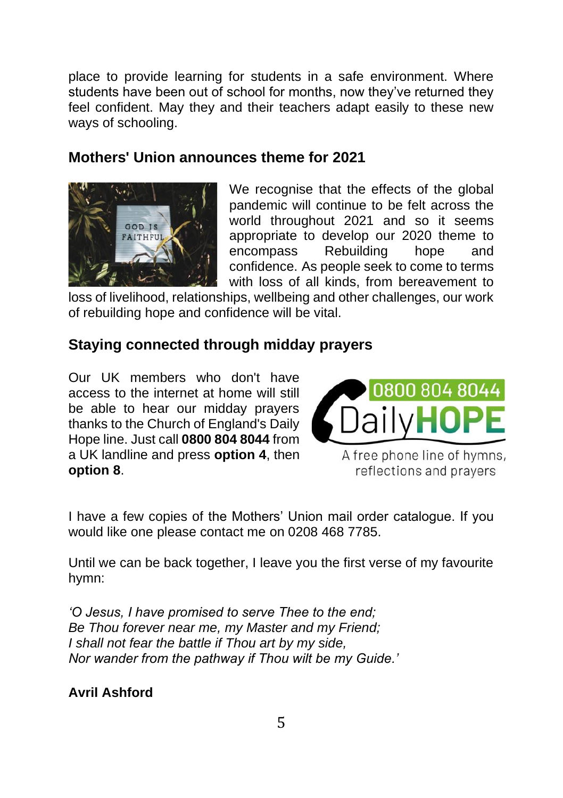place to provide learning for students in a safe environment. Where students have been out of school for months, now they've returned they feel confident. May they and their teachers adapt easily to these new ways of schooling.

# **Mothers' Union announces theme for 2021**



We recognise that the effects of the global pandemic will continue to be felt across the world throughout 2021 and so it seems appropriate to develop our 2020 theme to encompass Rebuilding hope and confidence. As people seek to come to terms with loss of all kinds, from bereavement to

loss of livelihood, relationships, wellbeing and other challenges, our work of rebuilding hope and confidence will be vital.

## **Staying connected through midday prayers**

Our UK members who don't have access to the internet at home will still be able to hear our midday prayers thanks to the Church of England's Daily Hope line. Just call **0800 804 8044** from a UK landline and press **option 4**, then **option 8**.



A free phone line of hymns, reflections and pravers

I have a few copies of the Mothers' Union mail order catalogue. If you would like one please contact me on 0208 468 7785.

Until we can be back together, I leave you the first verse of my favourite hymn:

*'O Jesus, I have promised to serve Thee to the end; Be Thou forever near me, my Master and my Friend; I shall not fear the battle if Thou art by my side, Nor wander from the pathway if Thou wilt be my Guide.'*

#### **Avril Ashford**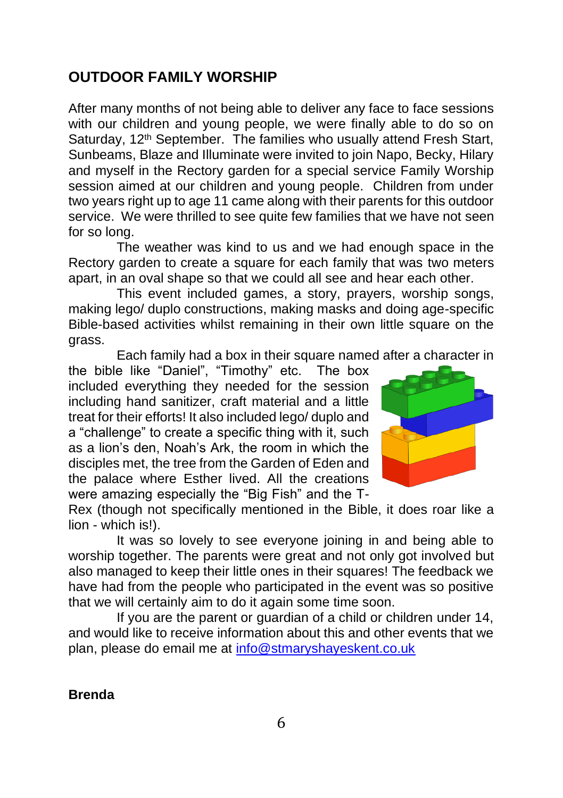# **OUTDOOR FAMILY WORSHIP**

After many months of not being able to deliver any face to face sessions with our children and young people, we were finally able to do so on Saturday, 12<sup>th</sup> September. The families who usually attend Fresh Start, Sunbeams, Blaze and Illuminate were invited to join Napo, Becky, Hilary and myself in the Rectory garden for a special service Family Worship session aimed at our children and young people. Children from under two years right up to age 11 came along with their parents for this outdoor service. We were thrilled to see quite few families that we have not seen for so long.

The weather was kind to us and we had enough space in the Rectory garden to create a square for each family that was two meters apart, in an oval shape so that we could all see and hear each other.

This event included games, a story, prayers, worship songs, making lego/ duplo constructions, making masks and doing age-specific Bible-based activities whilst remaining in their own little square on the grass.

Each family had a box in their square named after a character in

the bible like "Daniel", "Timothy" etc. The box included everything they needed for the session including hand sanitizer, craft material and a little treat for their efforts! It also included lego/ duplo and a "challenge" to create a specific thing with it, such as a lion's den, Noah's Ark, the room in which the disciples met, the tree from the Garden of Eden and the palace where Esther lived. All the creations were amazing especially the "Big Fish" and the T-



Rex (though not specifically mentioned in the Bible, it does roar like a lion - which is!).

It was so lovely to see everyone joining in and being able to worship together. The parents were great and not only got involved but also managed to keep their little ones in their squares! The feedback we have had from the people who participated in the event was so positive that we will certainly aim to do it again some time soon.

If you are the parent or guardian of a child or children under 14, and would like to receive information about this and other events that we plan, please do email me at [info@stmaryshayeskent.co.uk](mailto:info@stmaryshayeskent.co.uk)

**Brenda**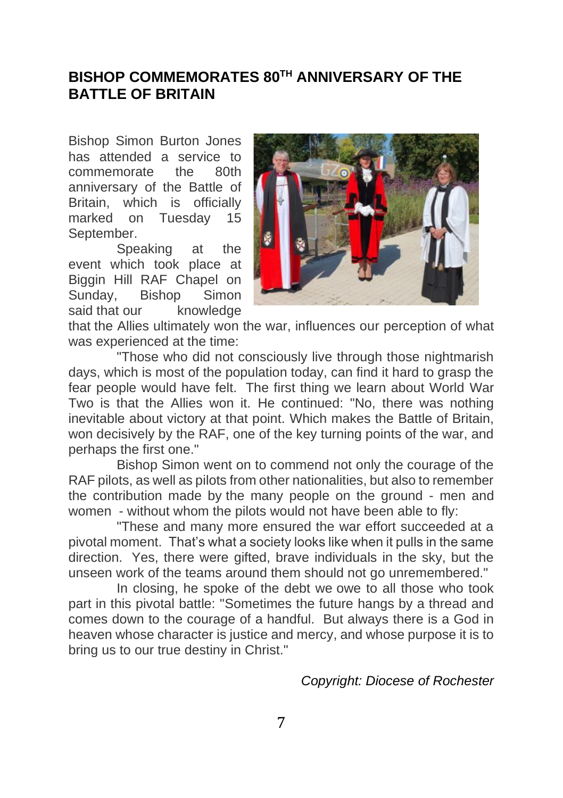## **BISHOP COMMEMORATES 80TH ANNIVERSARY OF THE BATTLE OF BRITAIN**

Bishop Simon Burton Jones has attended a service to commemorate the 80th anniversary of the Battle of Britain, which is officially marked on Tuesday 15 September.

Speaking at the event which took place at Biggin Hill RAF Chapel on Sunday, Bishop Simon said that our knowledge



that the Allies ultimately won the war, influences our perception of what was experienced at the time:

"Those who did not consciously live through those nightmarish days, which is most of the population today, can find it hard to grasp the fear people would have felt. The first thing we learn about World War Two is that the Allies won it. He continued: "No, there was nothing inevitable about victory at that point. Which makes the Battle of Britain, won decisively by the RAF, one of the key turning points of the war, and perhaps the first one."

Bishop Simon went on to commend not only the courage of the RAF pilots, as well as pilots from other nationalities, but also to remember the contribution made by the many people on the ground - men and women - without whom the pilots would not have been able to fly:

"These and many more ensured the war effort succeeded at a pivotal moment. That's what a society looks like when it pulls in the same direction. Yes, there were gifted, brave individuals in the sky, but the unseen work of the teams around them should not go unremembered."

In closing, he spoke of the debt we owe to all those who took part in this pivotal battle: "Sometimes the future hangs by a thread and comes down to the courage of a handful. But always there is a God in heaven whose character is justice and mercy, and whose purpose it is to bring us to our true destiny in Christ."

#### *Copyright: Diocese of Rochester*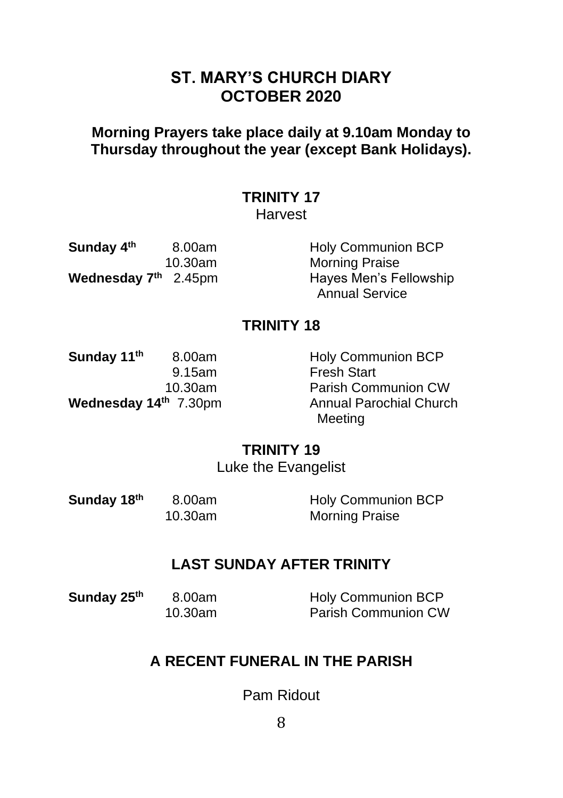# **ST. MARY'S CHURCH DIARY OCTOBER 2020**

## **Morning Prayers take place daily at 9.10am Monday to Thursday throughout the year (except Bank Holidays).**

## **TRINITY 17**

Harvest

**Sunday 4th Wednesday 7th**

8.00am Holy Communion BCP 10.30am Morning Praise Hayes Men's Fellowship Annual Service

# **TRINITY 18**

**Sunday 11th Wednesday 14th**

 8.00am Holy Communion BCP 9.15am Fresh Start<br>10.30am Parish Com **Parish Communion CW** Annual Parochial Church Meeting

# **TRINITY 19**

Luke the Evangelist

| Sunday 18th | 8.00am  | <b>Holy Communion BCP</b> |
|-------------|---------|---------------------------|
|             | 10.30am | <b>Morning Praise</b>     |

# **LAST SUNDAY AFTER TRINITY**

**Sunday 25th** 8.00am Holy Communion BCP 10.30am Parish Communion CW

# **A RECENT FUNERAL IN THE PARISH**

Pam Ridout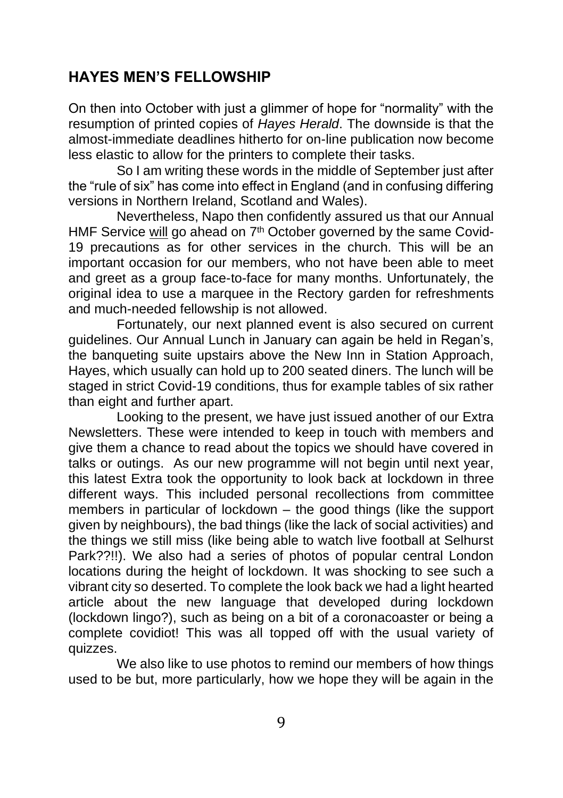# **HAYES MEN'S FELLOWSHIP**

On then into October with just a glimmer of hope for "normality" with the resumption of printed copies of *Hayes Herald*. The downside is that the almost-immediate deadlines hitherto for on-line publication now become less elastic to allow for the printers to complete their tasks.

So I am writing these words in the middle of September just after the "rule of six" has come into effect in England (and in confusing differing versions in Northern Ireland, Scotland and Wales).

Nevertheless, Napo then confidently assured us that our Annual HMF Service will go ahead on 7<sup>th</sup> October governed by the same Covid-19 precautions as for other services in the church. This will be an important occasion for our members, who not have been able to meet and greet as a group face-to-face for many months. Unfortunately, the original idea to use a marquee in the Rectory garden for refreshments and much-needed fellowship is not allowed.

Fortunately, our next planned event is also secured on current guidelines. Our Annual Lunch in January can again be held in Regan's, the banqueting suite upstairs above the New Inn in Station Approach, Hayes, which usually can hold up to 200 seated diners. The lunch will be staged in strict Covid-19 conditions, thus for example tables of six rather than eight and further apart.

Looking to the present, we have just issued another of our Extra Newsletters. These were intended to keep in touch with members and give them a chance to read about the topics we should have covered in talks or outings. As our new programme will not begin until next year, this latest Extra took the opportunity to look back at lockdown in three different ways. This included personal recollections from committee members in particular of lockdown – the good things (like the support given by neighbours), the bad things (like the lack of social activities) and the things we still miss (like being able to watch live football at Selhurst Park??!!). We also had a series of photos of popular central London locations during the height of lockdown. It was shocking to see such a vibrant city so deserted. To complete the look back we had a light hearted article about the new language that developed during lockdown (lockdown lingo?), such as being on a bit of a coronacoaster or being a complete covidiot! This was all topped off with the usual variety of quizzes.

We also like to use photos to remind our members of how things used to be but, more particularly, how we hope they will be again in the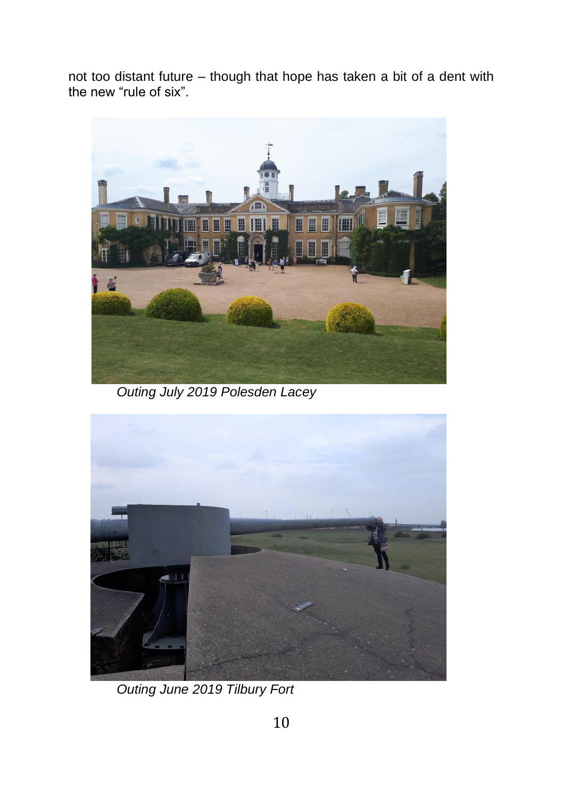not too distant future – though that hope has taken a bit of a dent with the new "rule of six".



*Outing July 2019 Polesden Lacey*



*Outing June 2019 Tilbury Fort*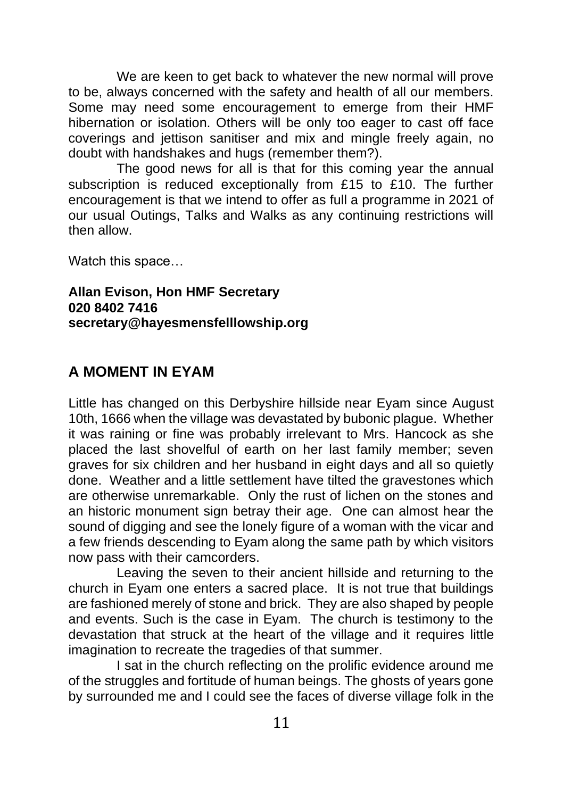We are keen to get back to whatever the new normal will prove to be, always concerned with the safety and health of all our members. Some may need some encouragement to emerge from their HMF hibernation or isolation. Others will be only too eager to cast off face coverings and jettison sanitiser and mix and mingle freely again, no doubt with handshakes and hugs (remember them?).

The good news for all is that for this coming year the annual subscription is reduced exceptionally from £15 to £10. The further encouragement is that we intend to offer as full a programme in 2021 of our usual Outings, Talks and Walks as any continuing restrictions will then allow.

Watch this space…

#### **Allan Evison, Hon HMF Secretary 020 8402 7416 secretary@hayesmensfelllowship.org**

#### **A MOMENT IN EYAM**

Little has changed on this Derbyshire hillside near Eyam since August 10th, 1666 when the village was devastated by bubonic plague. Whether it was raining or fine was probably irrelevant to Mrs. Hancock as she placed the last shovelful of earth on her last family member; seven graves for six children and her husband in eight days and all so quietly done. Weather and a little settlement have tilted the gravestones which are otherwise unremarkable. Only the rust of lichen on the stones and an historic monument sign betray their age. One can almost hear the sound of digging and see the lonely figure of a woman with the vicar and a few friends descending to Eyam along the same path by which visitors now pass with their camcorders.

Leaving the seven to their ancient hillside and returning to the church in Eyam one enters a sacred place. It is not true that buildings are fashioned merely of stone and brick. They are also shaped by people and events. Such is the case in Eyam. The church is testimony to the devastation that struck at the heart of the village and it requires little imagination to recreate the tragedies of that summer.

I sat in the church reflecting on the prolific evidence around me of the struggles and fortitude of human beings. The ghosts of years gone by surrounded me and I could see the faces of diverse village folk in the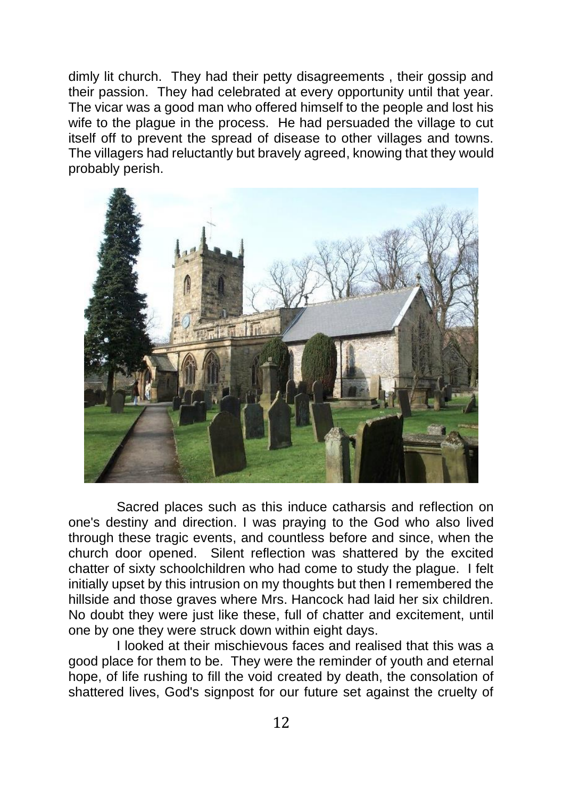dimly lit church. They had their petty disagreements , their gossip and their passion. They had celebrated at every opportunity until that year. The vicar was a good man who offered himself to the people and lost his wife to the plague in the process. He had persuaded the village to cut itself off to prevent the spread of disease to other villages and towns. The villagers had reluctantly but bravely agreed, knowing that they would probably perish.



Sacred places such as this induce catharsis and reflection on one's destiny and direction. I was praying to the God who also lived through these tragic events, and countless before and since, when the church door opened. Silent reflection was shattered by the excited chatter of sixty schoolchildren who had come to study the plague. I felt initially upset by this intrusion on my thoughts but then I remembered the hillside and those graves where Mrs. Hancock had laid her six children. No doubt they were just like these, full of chatter and excitement, until one by one they were struck down within eight days.

I looked at their mischievous faces and realised that this was a good place for them to be. They were the reminder of youth and eternal hope, of life rushing to fill the void created by death, the consolation of shattered lives, God's signpost for our future set against the cruelty of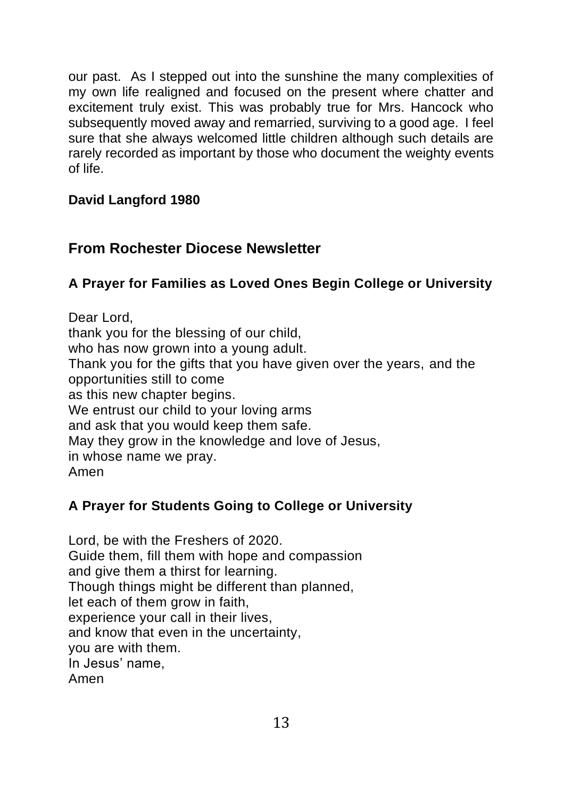our past. As I stepped out into the sunshine the many complexities of my own life realigned and focused on the present where chatter and excitement truly exist. This was probably true for Mrs. Hancock who subsequently moved away and remarried, surviving to a good age. I feel sure that she always welcomed little children although such details are rarely recorded as important by those who document the weighty events of life.

#### **David Langford 1980**

# **From Rochester Diocese Newsletter**

# **A Prayer for Families as Loved Ones Begin College or University**

Dear Lord, thank you for the blessing of our child, who has now grown into a young adult. Thank you for the gifts that you have given over the years, and the opportunities still to come as this new chapter begins. We entrust our child to your loving arms and ask that you would keep them safe. May they grow in the knowledge and love of Jesus, in whose name we pray. Amen

# **A Prayer for Students Going to College or University**

Lord, be with the Freshers of 2020. Guide them, fill them with hope and compassion and give them a thirst for learning. Though things might be different than planned, let each of them grow in faith, experience your call in their lives, and know that even in the uncertainty, you are with them. In Jesus' name, Amen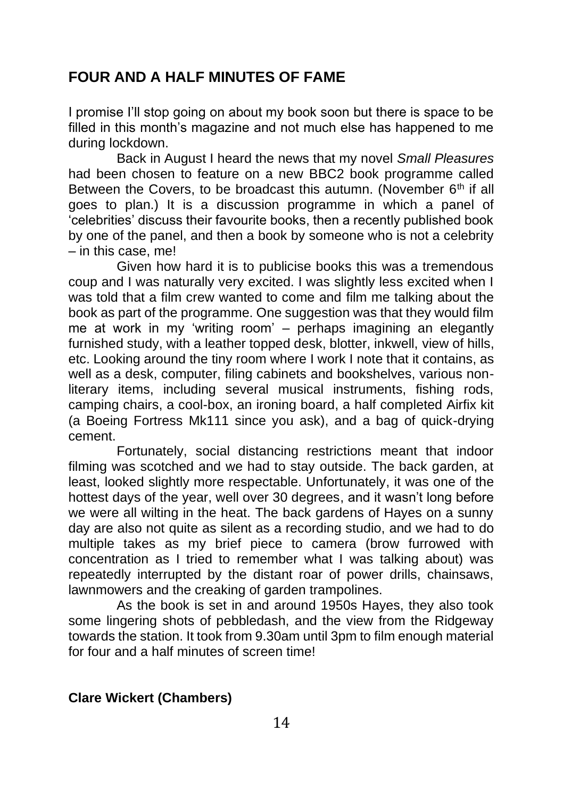# **FOUR AND A HALF MINUTES OF FAME**

I promise I'll stop going on about my book soon but there is space to be filled in this month's magazine and not much else has happened to me during lockdown.

Back in August I heard the news that my novel *Small Pleasures* had been chosen to feature on a new BBC2 book programme called Between the Covers, to be broadcast this autumn. (November  $6<sup>th</sup>$  if all goes to plan.) It is a discussion programme in which a panel of 'celebrities' discuss their favourite books, then a recently published book by one of the panel, and then a book by someone who is not a celebrity – in this case, me!

Given how hard it is to publicise books this was a tremendous coup and I was naturally very excited. I was slightly less excited when I was told that a film crew wanted to come and film me talking about the book as part of the programme. One suggestion was that they would film me at work in my 'writing room' – perhaps imagining an elegantly furnished study, with a leather topped desk, blotter, inkwell, view of hills, etc. Looking around the tiny room where I work I note that it contains, as well as a desk, computer, filing cabinets and bookshelves, various nonliterary items, including several musical instruments, fishing rods, camping chairs, a cool-box, an ironing board, a half completed Airfix kit (a Boeing Fortress Mk111 since you ask), and a bag of quick-drying cement.

Fortunately, social distancing restrictions meant that indoor filming was scotched and we had to stay outside. The back garden, at least, looked slightly more respectable. Unfortunately, it was one of the hottest days of the year, well over 30 degrees, and it wasn't long before we were all wilting in the heat. The back gardens of Hayes on a sunny day are also not quite as silent as a recording studio, and we had to do multiple takes as my brief piece to camera (brow furrowed with concentration as I tried to remember what I was talking about) was repeatedly interrupted by the distant roar of power drills, chainsaws, lawnmowers and the creaking of garden trampolines.

As the book is set in and around 1950s Hayes, they also took some lingering shots of pebbledash, and the view from the Ridgeway towards the station. It took from 9.30am until 3pm to film enough material for four and a half minutes of screen time!

#### **Clare Wickert (Chambers)**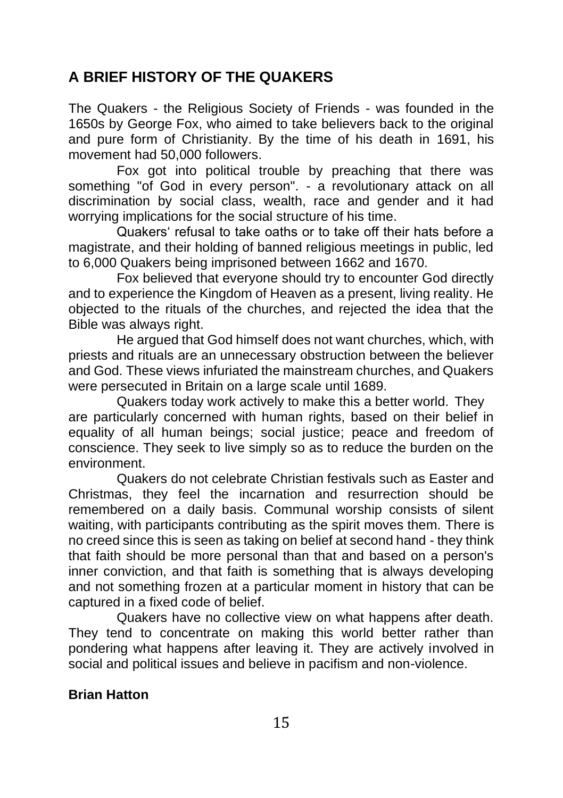# **A BRIEF HISTORY OF THE QUAKERS**

The Quakers - the Religious Society of Friends - was founded in the 1650s by George Fox, who aimed to take believers back to the original and pure form of Christianity. By the time of his death in 1691, his movement had 50,000 followers.

Fox got into political trouble by preaching that there was something "of God in every person". - a revolutionary attack on all discrimination by social class, wealth, race and gender and it had worrying implications for the social structure of his time.

Quakers' refusal to take oaths or to take off their hats before a magistrate, and their holding of banned religious meetings in public, led to 6,000 Quakers being imprisoned between 1662 and 1670.

Fox believed that everyone should try to encounter God directly and to experience the Kingdom of Heaven as a present, living reality. He objected to the rituals of the churches, and rejected the idea that the Bible was always right.

He argued that God himself does not want churches, which, with priests and rituals are an unnecessary obstruction between the believer and God. These views infuriated the mainstream churches, and Quakers were persecuted in Britain on a large scale until 1689.

Quakers today work actively to make this a better world. They are particularly concerned with human rights, based on their belief in equality of all human beings; social justice; peace and freedom of conscience. They seek to live simply so as to reduce the burden on the environment.

Quakers do not celebrate Christian festivals such as Easter and Christmas, they feel the incarnation and resurrection should be remembered on a daily basis. Communal worship consists of silent waiting, with participants contributing as the spirit moves them. There is no creed since this is seen as taking on belief at second hand - they think that faith should be more personal than that and based on a person's inner conviction, and that faith is something that is always developing and not something frozen at a particular moment in history that can be captured in a fixed code of belief.

Quakers have no collective view on what happens after death. They tend to concentrate on making this world better rather than pondering what happens after leaving it. They are actively involved in social and political issues and believe in pacifism and non-violence.

#### **Brian Hatton**